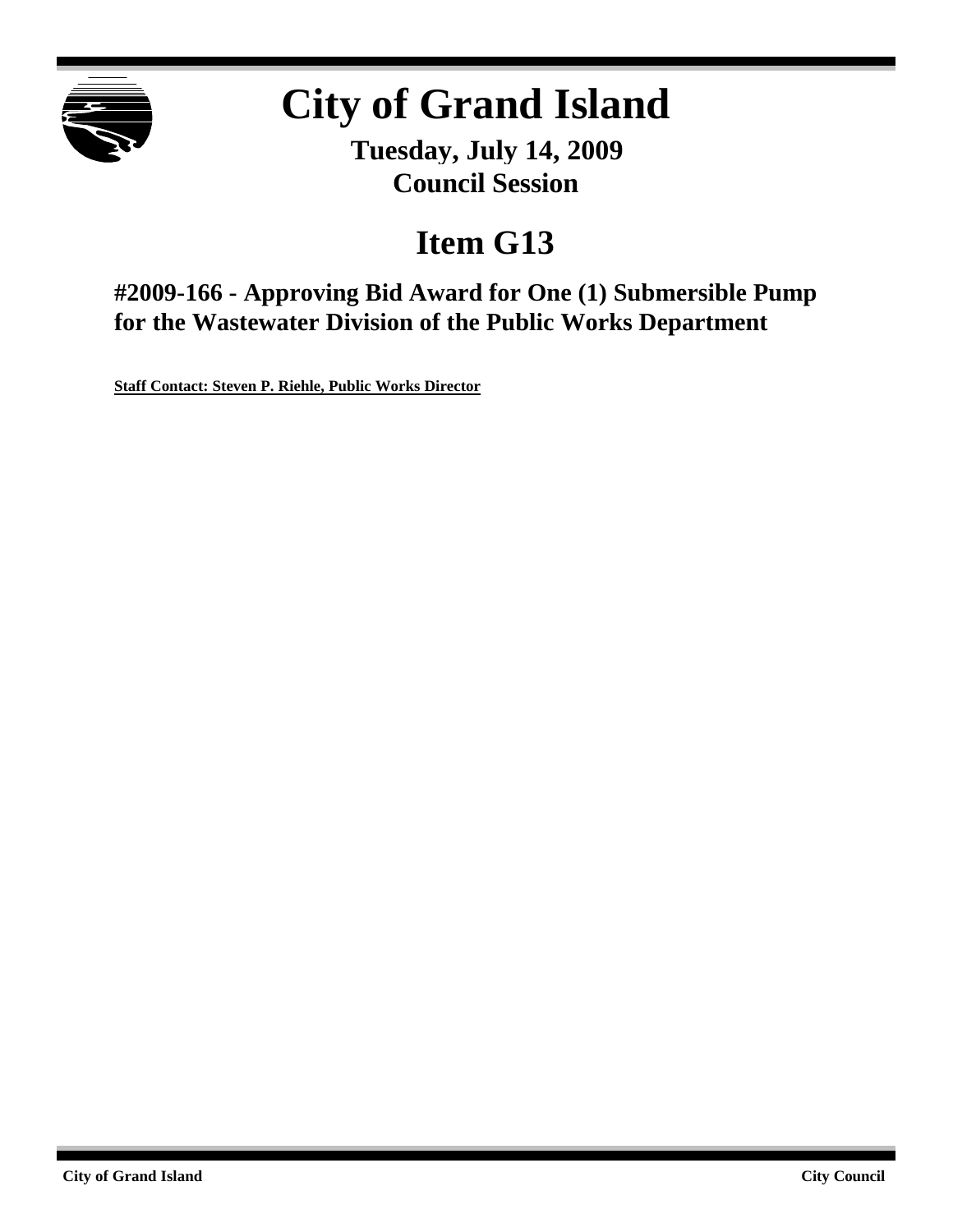

# **City of Grand Island**

**Tuesday, July 14, 2009 Council Session**

## **Item G13**

**#2009-166 - Approving Bid Award for One (1) Submersible Pump for the Wastewater Division of the Public Works Department**

**Staff Contact: Steven P. Riehle, Public Works Director**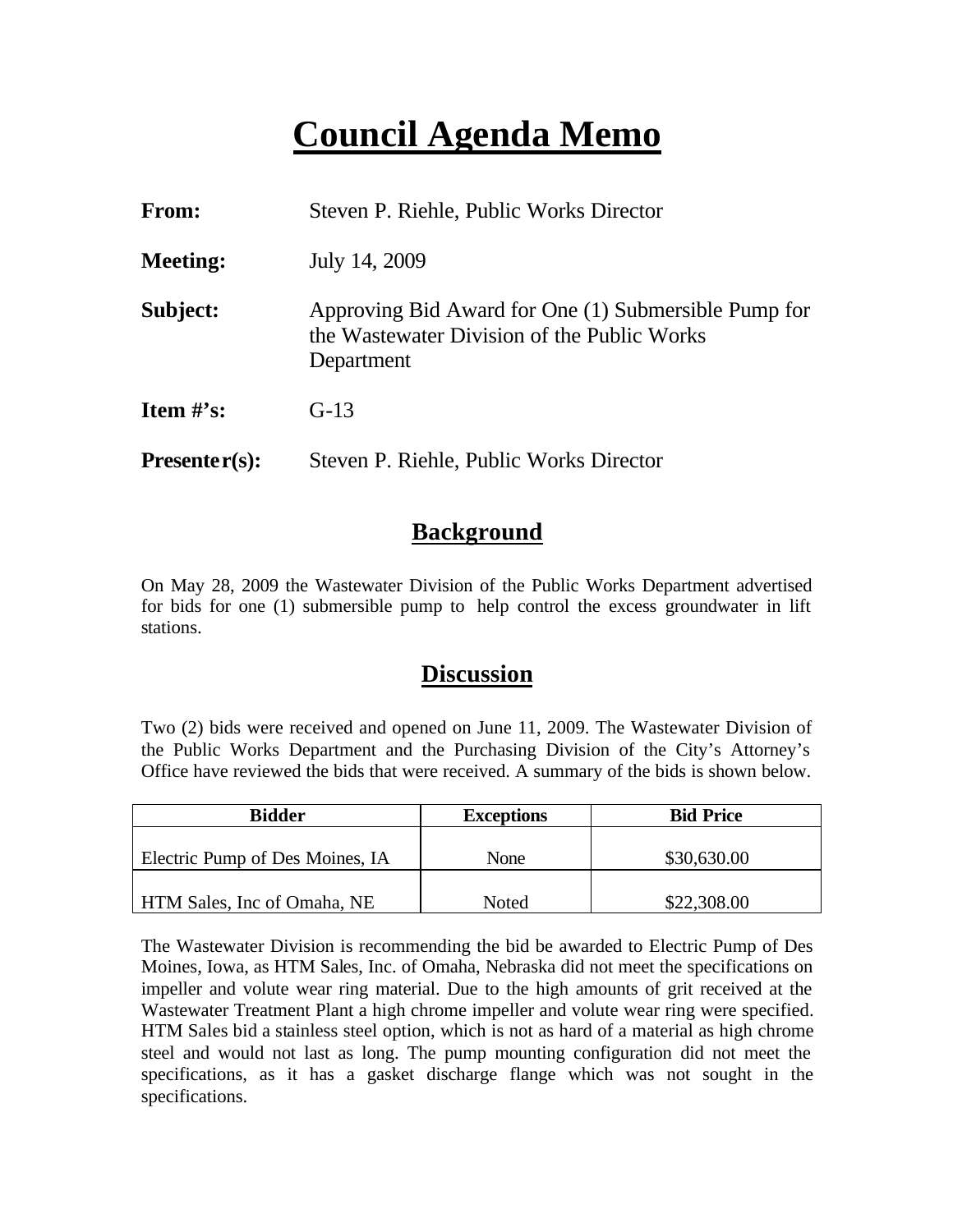## **Council Agenda Memo**

| From:           | Steven P. Riehle, Public Works Director                                                                           |  |  |
|-----------------|-------------------------------------------------------------------------------------------------------------------|--|--|
| <b>Meeting:</b> | July 14, 2009                                                                                                     |  |  |
| Subject:        | Approving Bid Award for One (1) Submersible Pump for<br>the Wastewater Division of the Public Works<br>Department |  |  |
| Item $\#$ 's:   | $G-13$                                                                                                            |  |  |
| $Presenter(s):$ | Steven P. Riehle, Public Works Director                                                                           |  |  |

### **Background**

On May 28, 2009 the Wastewater Division of the Public Works Department advertised for bids for one (1) submersible pump to help control the excess groundwater in lift stations.

### **Discussion**

Two (2) bids were received and opened on June 11, 2009. The Wastewater Division of the Public Works Department and the Purchasing Division of the City's Attorney's Office have reviewed the bids that were received. A summary of the bids is shown below.

| <b>Bidder</b>                   | <b>Exceptions</b> | <b>Bid Price</b> |
|---------------------------------|-------------------|------------------|
| Electric Pump of Des Moines, IA | None              | \$30,630.00      |
| HTM Sales, Inc of Omaha, NE     | Noted             | \$22,308.00      |

The Wastewater Division is recommending the bid be awarded to Electric Pump of Des Moines, Iowa, as HTM Sales, Inc. of Omaha, Nebraska did not meet the specifications on impeller and volute wear ring material. Due to the high amounts of grit received at the Wastewater Treatment Plant a high chrome impeller and volute wear ring were specified. HTM Sales bid a stainless steel option, which is not as hard of a material as high chrome steel and would not last as long. The pump mounting configuration did not meet the specifications, as it has a gasket discharge flange which was not sought in the specifications.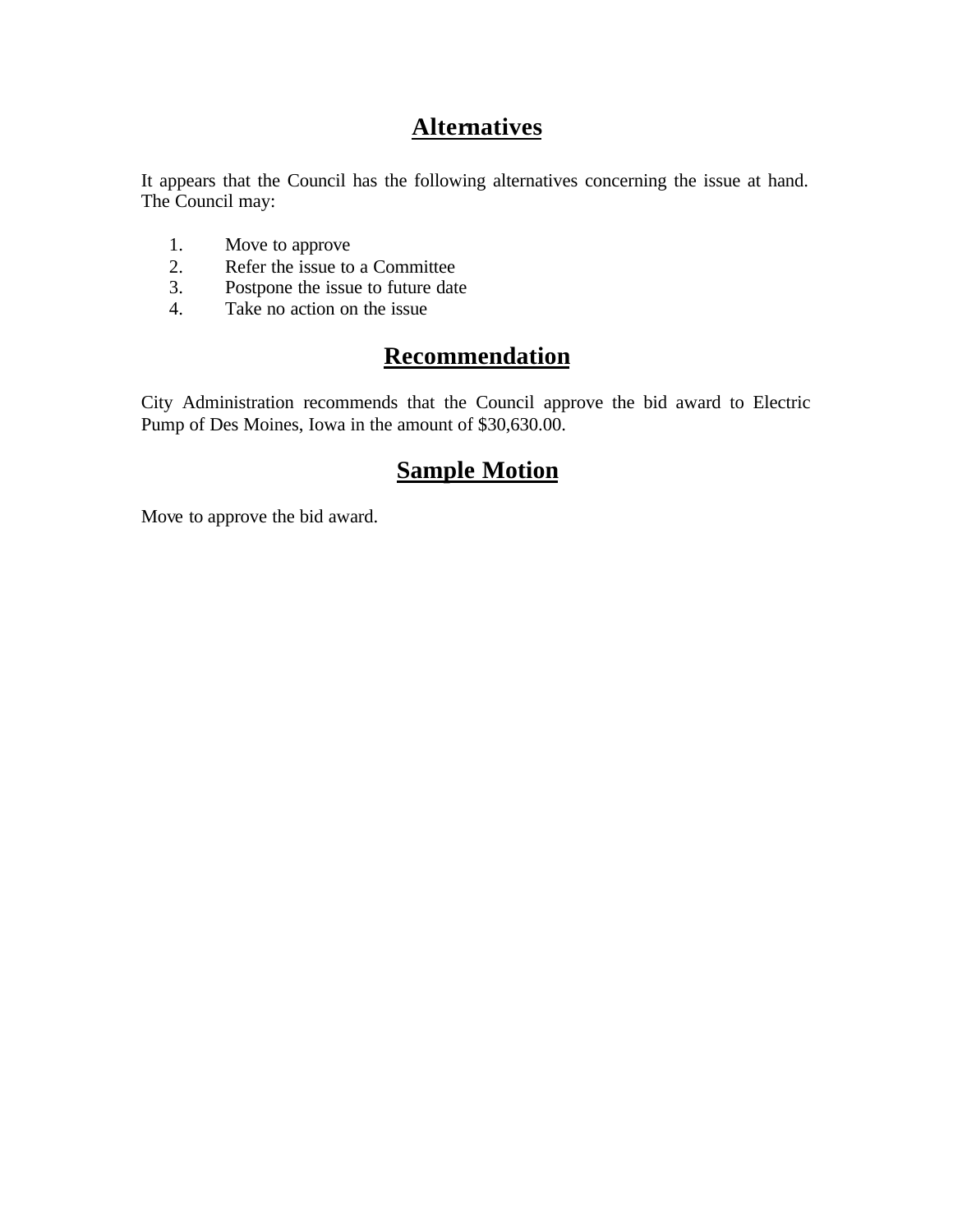## **Alternatives**

It appears that the Council has the following alternatives concerning the issue at hand. The Council may:

- 1. Move to approve
- 2. Refer the issue to a Committee<br>3. Postpone the issue to future date
- Postpone the issue to future date
- 4. Take no action on the issue

## **Recommendation**

City Administration recommends that the Council approve the bid award to Electric Pump of Des Moines, Iowa in the amount of \$30,630.00.

## **Sample Motion**

Move to approve the bid award.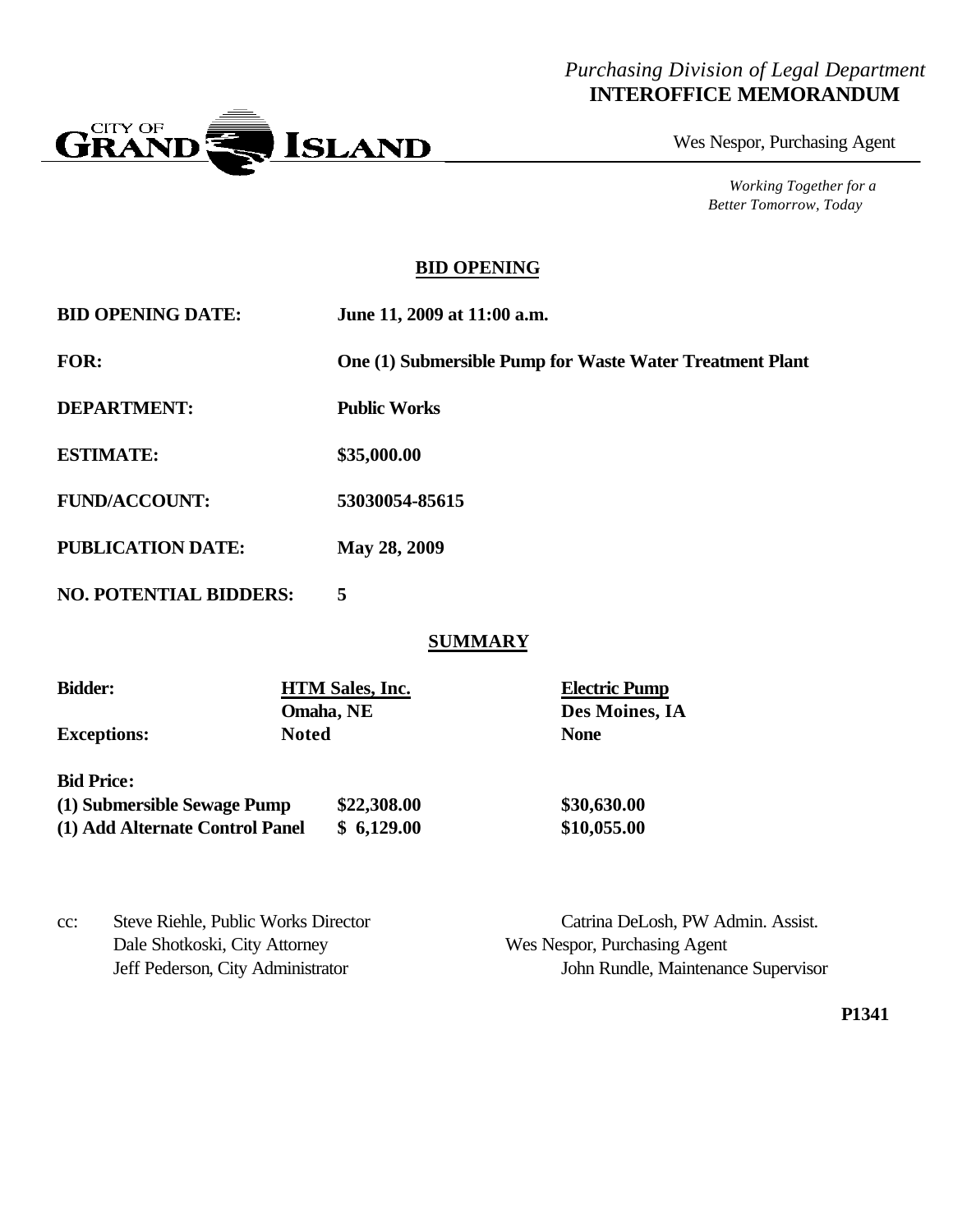#### *Purchasing Division of Legal Department* **INTEROFFICE MEMORANDUM**



Wes Nespor, Purchasing Agent

*Working Together for a Better Tomorrow, Today*

#### **BID OPENING**

| <b>BID OPENING DATE:</b> | June 11, 2009 at 11:00 a.m. |
|--------------------------|-----------------------------|
|                          |                             |

**FOR: One (1) Submersible Pump for Waste Water Treatment Plant**

**DEPARTMENT: Public Works**

**ESTIMATE: \$35,000.00**

**FUND/ACCOUNT: 53030054-85615**

**PUBLICATION DATE: May 28, 2009**

**NO. POTENTIAL BIDDERS: 5**

#### **SUMMARY**

| <b>Bidder:</b>                  | <b>HTM Sales, Inc.</b>    |             | <b>Electric Pump</b><br>Des Moines, IA<br><b>None</b> |
|---------------------------------|---------------------------|-------------|-------------------------------------------------------|
|                                 | Omaha, NE<br><b>Noted</b> |             |                                                       |
| <b>Exceptions:</b>              |                           |             |                                                       |
| <b>Bid Price:</b>               |                           |             |                                                       |
| (1) Submersible Sewage Pump     |                           | \$22,308.00 | \$30,630.00                                           |
| (1) Add Alternate Control Panel |                           | \$6,129.00  | \$10,055.00                                           |

Dale Shotkoski, City Attorney Wes Nespor, Purchasing Agent

cc: Steve Riehle, Public Works Director Catrina DeLosh, PW Admin. Assist. Jeff Pederson, City Administrator John Rundle, Maintenance Supervisor

**P1341**